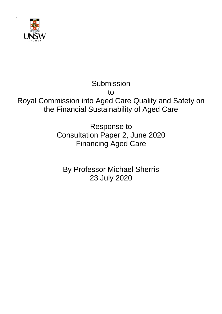

1

# Submission to Royal Commission into Aged Care Quality and Safety on the Financial Sustainability of Aged Care

Response to Consultation Paper 2, June 2020 Financing Aged Care

By Professor Michael Sherris 23 July 2020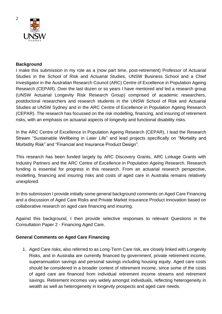

#### **Background**

I make this submission in my role as a (now part time, post-retirement) Professor of Actuarial Studies in the School of Risk and Actuarial Studies, UNSW Business School and a Chief Investigator in the Australian Research Council (ARC) Centre of Excellence in Population Ageing Research (CEPAR). Over the last dozen or so years I have mentored and led a research group (UNSW Actuarial Longevity Risk Research Group) comprised of academic researchers, postdoctoral researchers and research students in the UNSW School of Risk and Actuarial Studies at UNSW Sydney and in the ARC Centre of Excellence in Population Ageing Research (CEPAR). The research has focussed on the risk modelling, financing, and insuring of retirement risks, with an emphasis on actuarial aspects of longevity and functional disability risks.

In the ARC Centre of Excellence in Population Ageing Research (CEPAR), I lead the Research Stream "Sustainable Wellbeing in Later Life" and lead projects specifically on "Mortality and Morbidity Risk" and "Financial and Insurance Product Design".

This research has been funded largely by ARC Discovery Grants, ARC Linkage Grants with Industry Partners and the ARC Centre of Excellence in Population Ageing Research. Research funding is essential for progress in this research. From an actuarial research perspective, modelling, financing and insuring risks and costs of aged care in Australia remains relatively unexplored.

In this submission I provide initially some general background comments on Aged Care Financing and a discussion of Aged Care Risks and Private Market Insurance Product Innovation based on collaborative research on aged care financing and insuring.

Against this background, I then provide selective responses to relevant Questions in the Consultation Paper 2 - Financing Aged Care.

#### **General Comments on Aged Care Financing**

1. Aged Care risks, also referred to as Long-Term Care risk, are closely linked with Longevity Risks, and in Australia are currently financed by government, private retirement income, superannuation savings and personal savings including housing equity. Aged care costs should be considered in a broader context of retirement income, since some of the costs of aged care are financed from individual retirement income streams and retirement savings. Retirement incomes vary widely amongst individuals, reflecting heterogeneity in wealth as well as heterogeneity in longevity prospects and aged care needs.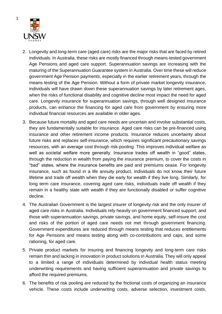

- 2. Longevity and long-term care (aged care) risks are the major risks that are faced by retired individuals. In Australia, these risks are mostly financed through means-tested government Age Pensions and aged care support. Superannuation savings are increasing with the maturing of the Superannuation Guarantee system in Australia. Over time these will reduce government Age Pension payments, especially in the earlier retirement years, through the means testing of the Age Pension. Without a form of private market longevity insurance, individuals will have drawn down these superannuation savings by later retirement ages, when the risks of functional disability and cognitive decline most impact the need for aged care. Longevity insurance for superannuation savings, through well designed insurance products, can enhance the financing for aged care from government by ensuring more individual financial resources are available in older ages.
- 3. Because future mortality and aged care needs are uncertain and involve substantial costs, they are fundamentally suitable for insurance. Aged care risks can be pre-financed using insurance and other retirement income products. Insurance reduces uncertainty about future risks and replaces self-insurance, which requires significant precautionary savings resources, with an average cost through risk-pooling. This improves individual welfare as well as societal welfare more generally. Insurance trades off wealth in "good" states, through the reduction in wealth from paying the insurance premium, to cover the costs in "bad" states, where the insurance benefits are paid and premiums cease. For longevity insurance, such as found in a life annuity product, individuals do not know their future lifetime and trade off wealth when they die early for wealth if they live long. Similarly, for long term care insurance, covering aged care risks, individuals trade off wealth if they remain in a healthy state with wealth if they are functionally disabled or suffer cognitive decline.
- 4. The Australian Government is the largest insurer of longevity risk and the only insurer of aged care risks in Australia. Individuals rely heavily on government financed support, and those with superannuation savings, private savings, and home equity, self-insure the cost and risks of the portion of aged care needs not met through government financing. Government expenditures are reduced through means testing that reduces entitlements for Age Pensions and means testing along with co-contributions and caps, and some rationing, for aged care.
- 5. Private product markets for insuring and financing longevity and long-term care risks remain thin and lacking in innovation in product solutions in Australia. They will only appeal to a limited a range of individuals determined by individual health status meeting underwriting requirements and having sufficient superannuation and private savings to afford the required premiums.
- 6. The benefits of risk pooling are reduced by the frictional costs of organizing an insurance vehicle. These costs include underwriting costs, adverse selection, investment costs,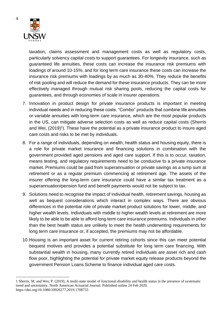

taxation, claims assessment and management costs as well as regulatory costs, particularly solvency capital costs to support guarantees. For longevity insurance, such as guaranteed life annuities, these costs can increase the insurance risk premiums with loadings of around 10-15%, and for long term care insurance these costs can increase the insurance risk premiums with loadings by as much as 30-40%. They reduce the benefits of risk pooling and will reduce the demand for these insurance products. They can be more effectively managed through mutual risk sharing pools, reducing the capital costs for guarantees, and through economies of scale in insurer operations.

- 7. Innovation in product design for private insurance products is important in meeting individual needs and in reducing these costs. "Combo" products that combine life annuities or variable annuities with long-term care insurance, which are the most popular products in the US, can mitigate adverse selection costs as well as reduce capital costs (Sherris and Wei, (2019)<sup>1</sup>). These have the potential as a private insurance product to insure aged care costs and risks to be met by individuals.
- 8. For a range of individuals, depending on wealth, health status and housing equity, there is a role for private market insurance and financing solutions in combination with the government provided aged pensions and aged care support. If this is to occur, taxation, means testing, and regulatory requirements need to be conducive to a private insurance market. Premiums could be paid from superannuation or private savings as a lump sum at retirement or as a regular premium commencing at retirement age. The assets of the insurer offering the long-term care insurance could have a similar tax treatment as a superannuation/pension fund and benefit payments would not be subject to tax.
- 9. Solutions need to recognise the impact of individual health, retirement savings, housing as well as bequest considerations which interact in complex ways. There are obvious differences in the potential role of private market product solutions for lower, middle, and higher wealth levels. Individuals with middle to higher wealth levels at retirement are more likely to be able to be able to afford long term care insurance premiums. Individuals in other than the best health status are unlikely to meet the health underwriting requirements for long term care insurance or, if accepted, the premiums may not be affordable.
- 10.Housing is an important asset for current retiring cohorts since this can meet potential bequest motives and provides a potential substitute for long term care financing. With substantial wealth in housing, many currently retired individuals are asset rich and cash flow poor, highlighting the potential for private market equity release products beyond the government Pension Loans Scheme to finance individual aged care costs.

<sup>1</sup> Sherris, M. and Wei, P. (2019). A multi-state model of functional disability and health status in the presence of systematic trend and uncertainty. North American Actuarial Journal. Published online 24 Feb 2020. https://doi.org/10.1080/10920277.2019.1708755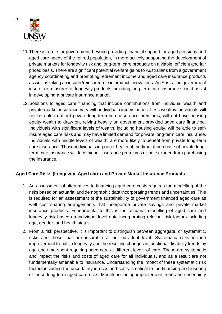

- 11.There is a role for government, beyond providing financial support for aged pensions and aged care needs of the retired population, in more actively supporting the development of private markets for longevity risk and long-term care products on a viable, efficient and fair priced basis. There are significant potential welfare gains to Australians from a government agency coordinating and promoting retirement income and aged care insurance products as well as taking an insurer/reinsurer role in product innovations. An Australian government insurer or reinsurer for longevity products including long term care insurance could assist in developing a private insurance market.
- 12.Solutions to aged care financing that include contributions from individual wealth and private market insurance vary with individual circumstances. Less wealthy individuals will not be able to afford private long-term care insurance premiums, will not have housing equity wealth to draw on, relying heavily on government provided aged care financing. Individuals with significant levels of wealth, including housing equity, will be able to selfinsure aged care risks and may have limited demand for private long-term care insurance. Individuals with middle levels of wealth, are more likely to benefit from private long-term care insurance. Those individuals in poorer health at the time of purchase of private longterm care insurance will face higher insurance premiums or be excluded from purchasing the insurance.

#### **Aged Care Risks (Longevity, Aged care) and Private Market Insurance Products**

- 1. An assessment of alternatives to financing aged care costs requires the modelling of the risks based on actuarial and demographic data incorporating trends and uncertainties. This is required for an assessment of the sustainability of government financed aged care as well cost sharing arrangements that incorporate private savings and private market insurance products. Fundamental to this is the actuarial modelling of aged care and longevity risk based on individual level data incorporating relevant risk factors including age, gender, and health status.
- 2. From a risk perspective, it is important to distinguish between aggregate, or systematic, risks and those that are insurable at an individual level. Systematic risks include improvement trends in longevity and the resulting changes in functional disability trends by age and time spent requiring aged care at different levels of care. These are systematic and impact the risks and costs of aged care for all individuals, and as a result are not fundamentally amenable to insurance. Understanding the impact of these systematic risk factors including the uncertainty in risks and costs is critical to the financing and insuring of these long-term aged care risks. Models including improvement trend and uncertainty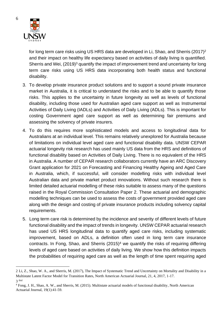

for long term care risks using US HRS data are developed in Li, Shao, and Sherris (2017)<sup>2</sup> and their impact on healthy life expectancy based on activities of daily living is quantified. Sherris and Wei, (2019)<sup>3</sup> quantify the impact of improvement trend and uncertainty for long term care risks using US HRS data incorporating both health status and functional disability.

- 3. To develop private insurance product solutions and to support a sound private insurance market in Australia, it is critical to understand the risks and to be able to quantify those risks. This applies to the uncertainty in future longevity as well as levels of functional disability, including those used for Australian aged care support as well as Instrumental Activities of Daily Living (IADLs) and Activities of Daily Living (ADLs). This is important for costing Government aged care support as well as determining fair premiums and assessing the solvency of private insurers.
- 4. To do this requires more sophisticated models and access to longitudinal data for Australians at an individual level. This remains relatively unexplored for Australia because of limitations on individual level aged care and functional disability data. UNSW CEPAR actuarial longevity risk research has used mainly US data from the HRS and definitions of functional disability based on Activities of Daily Living. There is no equivalent of the HRS in Australia. A number of CEPAR research collaborators currently have an ARC Discovery Grant application for 2021 on Forecasting and Financing Healthy Ageing and Aged Care in Australia, which, if successful, will consider modelling risks with individual level Australian data and private market product innovations. Without such research there is limited detailed actuarial modelling of these risks suitable to assess many of the questions raised in the Royal Commission Consultation Paper 2. These actuarial and demographic modelling techniques can be used to assess the costs of government provided aged care along with the design and costing of private insurance products including solvency capital requirements.
- 5. Long term care risk is determined by the incidence and severity of different levels of future functional disability and the impact of trends in longevity. UNSW CEPAR actuarial research has used US HRS longitudinal data to quantify aged care risks, including systematic improvement, based on ADLs, a definition often used in long term care insurance contracts. In Fong, Shao, and Sherris  $(2015)^4$  we quantify the risks of requiring differing levels of aged care based on activities of daily living. We show how this definition impacts the probabilities of requiring aged care as well as the length of time spent requiring aged

<sup>2</sup> Li, Z., Shao, W. A., and Sherris, M. (2017), The Impact of Systematic Trend and Uncertainty on Mortality and Disability in a Multistate Latent Factor Model for Transition Rates, North American Actuarial Journal, 21, 4, 2017, 1-17. 3 ibid

<sup>4</sup> Fong, J. H., Shao, A. W., and Sherris, M. (2015). Multistate actuarial models of functional disability, North American Actuarial Journal, 19(1):41-59.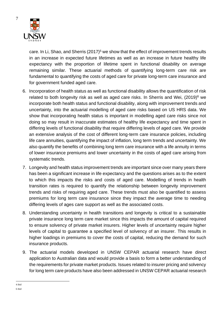

care. In Li, Shao, and Sherris  $(2017)^5$  we show that the effect of improvement trends results in an increase in expected future lifetimes as well as an increase in future healthy life expectancy with the proportion of lifetime spent in functional disability on average remaining similar. These actuarial methods of quantifying long-term care risk are fundamental to quantifying the costs of aged care for private long-term care insurance and for government funded aged care.

- 6. Incorporation of health status as well as functional disability allows the quantification of risk related to both longevity risk as well as aged care risks. In Sherris and Wei, (2019)<sup>6</sup> we incorporate both health status and functional disability, along with improvement trends and uncertainty, into the actuarial modelling of aged care risks based on US HRS data. We show that incorporating health status is important in modelling aged care risks since not doing so may result in inaccurate estimates of healthy life expectancy and time spent in differing levels of functional disability that require differing levels of aged care. We provide an extensive analysis of the cost of different long-term care insurance policies, including life care annuities, quantifying the impact of inflation, long term trends and uncertainty. We also quantify the benefits of combining long term care insurance with a life annuity in terms of lower insurance premiums and lower uncertainty in the costs of aged care arising from systematic trends.
- 7. Longevity and health status improvement trends are important since over many years there has been a significant increase in life expectancy and the questions arises as to the extent to which this impacts the risks and costs of aged care. Modelling of trends in health transition rates is required to quantify the relationship between longevity improvement trends and risks of requiring aged care. These trends must also be quantified to assess premiums for long term care insurance since they impact the average time to needing differing levels of ages care support as well as the associated costs.
- 8. Understanding uncertainty in health transitions and longevity is critical to a sustainable private insurance long term care market since this impacts the amount of capital required to ensure solvency of private market insurers. Higher levels of uncertainty require higher levels of capital to guarantee a specified level of solvency of an insurer. This results in higher loadings in premiums to cover the costs of capital, reducing the demand for such insurance products.
- 9. The actuarial models developed in UNSW CEPAR actuarial research have direct application to Australian data and would provide a basis to form a better understanding of the requirements for private market products. Issues related to insurer pricing and solvency for long term care products have also been addressed in UNSW CEPAR actuarial research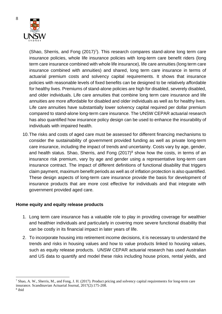

8

(Shao, Sherris, and Fong  $(2017)^7$ ). This research compares stand-alone long term care insurance policies, whole life insurance policies with long-term care benefit riders (long term care insurance combined with whole life insurance), life care annuities (long term care insurance combined with annuities) and shared, long term care insurance in terms of actuarial premium costs and solvency capital requirements. It shows that insurance policies with reasonable levels of fixed benefits can be designed to be relatively affordable for healthy lives. Premiums of stand-alone policies are high for disabled, severely disabled, and older individuals. Life care annuities that combine long term care insurance and life annuities are more affordable for disabled and older individuals as well as for healthy lives. Life care annuities have substantially lower solvency capital required per dollar premium compared to stand-alone long-term care insurance. The UNSW CEPAR actuarial research has also quantified how insurance policy design can be used to enhance the insurability of individuals with impaired health.

10.The risks and costs of aged care must be assessed for different financing mechanisms to consider the sustainability of government provided funding as well as private long-term care insurance, including the impact of trends and uncertainty. Costs vary by age, gender, and health status. Shao, Sherris, and Fong  $(2017)^8$  show how the costs, in terms of an insurance risk premium, vary by age and gender using a representative long-term care insurance contract. The impact of different definitions of functional disability that triggers claim payment, maximum benefit periods as well as of inflation protection is also quantified. These design aspects of long-term care insurance provide the basis for development of insurance products that are more cost effective for individuals and that integrate with government provided aged care.

#### **Home equity and equity release products**

- 1. Long term care insurance has a valuable role to play in providing coverage for wealthier and healthier individuals and particularly in covering more severe functional disability that can be costly in its financial impact in later years of life.
- 2. To incorporate housing into retirement income decisions, it is necessary to understand the trends and risks in housing values and how to value products linked to housing values, such as equity release products. UNSW CEPAR actuarial research has used Australian and US data to quantify and model these risks including house prices, rental yields, and

 $^7$  Shao, A. W., Sherris, M., and Fong, J. H. (2017). Product pricing and solvency capital requirements for long-term care insurance. Scandinavian Actuarial Journal, 2017(2):175-208.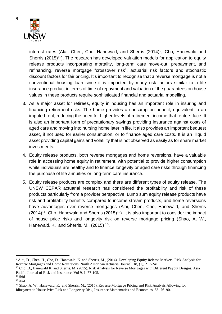

interest rates (Alai, Chen, Cho, Hanewald, and Sherris (2014)<sup>9</sup>, Cho, Hanewald and Sherris (2015)<sup>10</sup>). The research has developed valuation models for application to equity release products incorporating mortality, long-term care move-out, prepayment, and refinancing, reverse mortgage "crossover risk", actuarial risk factors and stochastic discount factors for fair pricing. It's important to recognise that a reverse mortgage is not a conventional housing loan since it is impacted by many risk factors similar to a life insurance product in terms of time of repayment and valuation of the guarantees on house values in these products require sophisticated financial and actuarial modelling.

- 3. As a major asset for retirees, equity in housing has an important role in insuring and financing retirement risks. The home provides a consumption benefit, equivalent to an imputed rent, reducing the need for higher levels of retirement income that renters face. It is also an important form of precautionary savings providing insurance against costs of aged care and moving into nursing home later in life. It also provides an important bequest asset, if not used for earlier consumption, or to finance aged care costs. It is an illiquid asset providing capital gains and volatility that is not observed as easily as for share market investments.
- 4. Equity release products, both reverse mortgages and home reversions, have a valuable role in accessing home equity in retirement, with potential to provide higher consumption while individuals are healthy and to finance longevity or aged care risks through financing the purchase of life annuities or long-term care insurance.
- 5. Equity release products are complex and there are different types of equity release. The UNSW CEPAR actuarial research has considered the profitability and risk of these products particularly from a provider perspective. Lump sum equity release products have risk and profitability benefits compared to income stream products, and home reversions have advantages over reverse mortgages (Alai, Chen, Cho, Hanewald, and Sherris  $(2014)^{11}$ , Cho, Hanewald and Sherris  $(2015)^{12}$ ). It is also important to consider the impact of house price risks and longevity risk on reverse mortgage pricing (Shao, A, W., Hanewald, K. and Sherris, M., (2015)<sup>13</sup>.

<sup>9</sup> Alai, D., Chen, H., Cho, D., Hanewald, K. and Sherris, M., (2014), Developing Equity Release Markets: Risk Analysis for Reverse Mortgages and Home Reversions, North American Actuarial Journal, 18, (1), 217-241.

<sup>&</sup>lt;sup>10</sup> Cho, D., Hanewald K. and Sherris, M. (2015), Risk Analysis for Reverse Mortgages with Different Payout Designs, Asia Pacific Journal of Risk and Insurance. Vol 9, 1, 77-105.

 $11$  ibid

 $12$  ibid

<sup>13</sup> Shao, A, W., Hanewald, K. and Sherris, M., (2015), Reverse Mortgage Pricing and Risk Analysis Allowing for Idiosyncratic House Price Risk and Longevity Risk, Insurance Mathematics and Economics, 63: 76–90.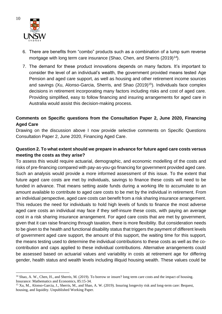

- 6. There are benefits from "combo" products such as a combination of a lump sum reverse mortgage with long term care insurance (Shao, Chen, and Sherris (2019)<sup>14</sup>).
- 7. The demand for these product innovations depends on many factors. It's important to consider the level of an individual's wealth, the government provided means tested Age Pension and aged care support, as well as housing and other retirement income sources and savings (Xu, Alonso-Garcia, Sherris, and Shao (2019)<sup>15</sup>). Individuals face complex decisions in retirement incorporating many factors including risks and cost of aged care. Providing simplified, easy to follow financing and insuring arrangements for aged care in Australia would assist this decision-making process.

# **Comments on Specific questions from the Consultation Paper 2, June 2020, Financing Aged Care**

Drawing on the discussion above I now provide selective comments on Specific Questions Consultation Paper 2, June 2020, Financing Aged Care.

# **Question 2. To what extent should we prepare in advance for future aged care costs versus meeting the costs as they arise?**

To assess this would require actuarial, demographic, and economic modelling of the costs and risks of pre-financing compared with pay-as-you-go financing for government provided aged care. Such an analysis would provide a more informed assessment of this issue. To the extent that future aged care costs are met by individuals, savings to finance these costs will need to be funded in advance. That means setting aside funds during a working life to accumulate to an amount available to contribute to aged care costs to be met by the individual in retirement. From an individual perspective, aged care costs can benefit from a risk sharing insurance arrangement. This reduces the need for individuals to hold high levels of funds to finance the most adverse aged care costs an individual may face if they self-insure these costs, with paying an average cost in a risk sharing insurance arrangement. For aged care costs that are met by government, given that it can raise financing through taxation, there is more flexibility. But consideration needs to be given to the health and functional disability status that triggers the payment of different levels of government aged care support, the amount of this support, the waiting time for this support, the means testing used to determine the individual contributions to these costs as well as the cocontribution and caps applied to these individual contributions. Alternative arrangements could be assessed based on actuarial values and variability in costs at retirement age for differing gender, health status and wealth levels including illiquid housing wealth. These values could be

<sup>&</sup>lt;sup>14</sup> Shao, A. W., Chen, H., and Sherris, M. (2019). To borrow or insure? long term care costs and the impact of housing. Insurance: Mathematics and Economics, 85:15-34.

<sup>&</sup>lt;sup>15</sup> Xu, M., Alonso-Garcia, J., Sherris, M., and Shao, A. W. (2019). Insuring longevity risk and long-term care: Bequest, housing, and liquidity. Unpublished Working Paper.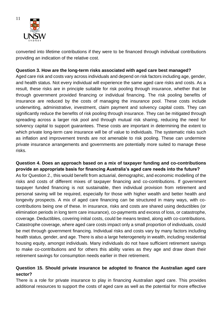

converted into lifetime contributions if they were to be financed through individual contributions providing an indication of the relative cost.

## **Question 3. How are the long-term risks associated with aged care best managed?**

Aged care risk and costs vary across individuals and depend on risk factors including age, gender, and health status. Not every individual will experience the same aged care risks and costs. As a result, these risks are in principle suitable for risk pooling through insurance, whether that be through government provided financing or individual financing. The risk pooling benefits of insurance are reduced by the costs of managing the insurance pool. These costs include underwriting, administrative, investment, claim payment and solvency capital costs. They can significantly reduce the benefits of risk pooling through insurance. They can be mitigated through spreading across a larger risk pool and through mutual risk sharing, reducing the need for solvency capital to support guarantees. These costs are important in determining the extent to which private long-term care insurance will be of value to individuals. The systematic risks such as inflation and improvement trends are not amenable to risk pooling. These can undermine private insurance arrangements and governments are potentially more suited to manage these risks.

# **Question 4. Does an approach based on a mix of taxpayer funding and co-contributions provide an appropriate basis for financing Australia's aged care needs into the future?**

As for Question 2., this would benefit from actuarial, demographic, and economic modelling of the risks and costs of different mixes of taxpayer financing and co-contributions. If government taxpayer funded financing is not sustainable, then individual provision from retirement and personal saving will be required, especially for those with higher wealth and better health and longevity prospects. A mix of aged care financing can be structured in many ways, with cocontributions being one of these. In insurance, risks and costs are shared using deductibles (or elimination periods in long term care insurance), co-payments and excess of loss, or catastrophe, coverage. Deductibles, covering initial costs, could be means tested, along with co-contributions. Catastrophe coverage, where aged care costs impact only a small proportion of individuals, could be met through government financing. Individual risks and costs vary by many factors including health status, gender, and age. There is also a large heterogeneity in wealth, including residential housing equity, amongst individuals. Many individuals do not have sufficient retirement savings to make co-contributions and for others this ability varies as they age and draw down their retirement savings for consumption needs earlier in their retirement.

## **Question 15. Should private insurance be adopted to finance the Australian aged care sector?**

There is a role for private insurance to play in financing Australian aged care. This provides additional resources to support the costs of aged care as well as the potential for more effective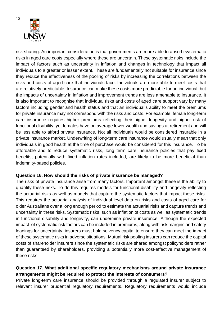

risk sharing. An important consideration is that governments are more able to absorb systematic risks in aged care costs especially where these are uncertain. These systematic risks include the impact of factors such as uncertainty in inflation and changes in technology that impact all individuals to a greater or lesser extent. These are fundamentally not suitable for insurance since they reduce the effectiveness of the pooling of risks by increasing the correlations between the risks and costs of aged care that individuals face. Individuals are more able to meet costs that are relatively predictable. Insurance can make these costs more predictable for an individual, but the impacts of uncertainty in inflation and improvement trends are less amenable to insurance. It is also important to recognise that individual risks and costs of aged care support vary by many factors including gender and health status and that an individual's ability to meet the premiums for private insurance may not correspond with the risks and costs. For example, female long-term care insurance requires higher premiums reflecting their higher longevity and higher risk of functional disability, yet females have on average lower wealth and savings at retirement and will be less able to afford private insurance. Not all individuals would be considered insurable in a private insurance market. Underwriting of long-term care insurance would usually mean that only individuals in good health at the time of purchase would be considered for this insurance. To be affordable and to reduce systematic risks, long term care insurance policies that pay fixed benefits, potentially with fixed inflation rates included, are likely to be more beneficial than indemnity-based policies.

#### **Question 16. How should the risks of private insurance be managed?**

The risks of private insurance arise from many factors. Important amongst these is the ability to quantify these risks. To do this requires models for functional disability and longevity reflecting the actuarial risks as well as models that capture the systematic factors that impact these risks. This requires the actuarial analysis of individual level data on risks and costs of aged care for older Australians over a long enough period to estimate the actuarial risks and capture trends and uncertainty in these risks. Systematic risks, such as inflation of costs as well as systematic trends in functional disability and longevity, can undermine private insurance. Although the expected impact of systematic risk factors can be included in premiums, along with risk margins and safety loadings for uncertainty, insurers must hold solvency capital to ensure they can meet the impact of these systematic risks in adverse situations. Mutual risk pooling insurers can reduce the capital costs of shareholder insurers since the systematic risks are shared amongst policyholders rather than guaranteed by shareholders, providing a potentially more cost-effective management of these risks.

## **Question 17. What additional specific regulatory mechanisms around private insurance arrangements might be required to protect the interests of consumers?**

Private long-term care insurance should be provided through a regulated insurer subject to relevant insurer prudential regulatory requirements. Regulatory requirements would include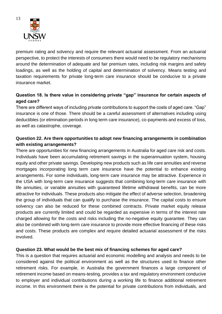

premium rating and solvency and require the relevant actuarial assessment. From an actuarial perspective, to protect the interests of consumers there would need to be regulatory mechanisms around the determination of adequate and fair premium rates, including risk margins and safety loadings, as well as the holding of capital and determination of solvency. Means testing and taxation requirements for private long-term care insurance should be conducive to a private insurance market.

# **Question 18. Is there value in considering private "gap" insurance for certain aspects of aged care?**

There are different ways of including private contributions to support the costs of aged care. "Gap" insurance is one of those. There should be a careful assessment of alternatives including using deductibles (or elimination periods in long term care insurance), co-payments and excess of loss, as well as catastrophe, coverage.

# **Question 22. Are there opportunities to adopt new financing arrangements in combination with existing arrangements?**

There are opportunities for new financing arrangements in Australia for aged care risk and costs. Individuals have been accumulating retirement savings in the superannuation system, housing equity and other private savings. Developing new products such as life care annuities and reverse mortgages incorporating long term care insurance have the potential to enhance existing arrangements. For some individuals, long-term care insurance may be attractive. Experience in the USA with long-term care insurance suggests that combining long-term care insurance with life annuities, or variable annuities with guaranteed lifetime withdrawal benefits, can be more attractive for individuals. These products also mitigate the effect of adverse selection, broadening the group of individuals that can qualify to purchase the insurance. The capital costs to ensure solvency can also be reduced for these combined contracts. Private market equity release products are currently limited and could be regarded as expensive in terms of the interest rate charged allowing for the costs and risks including the no-negative equity guarantee. They can also be combined with long-term care insurance to provide more effective financing of these risks and costs. These products are complex and require detailed actuarial assessment of the risks involved.

#### **Question 23. What would be the best mix of financing schemes for aged care?**

This is a question that requires actuarial and economic modelling and analysis and needs to be considered against the political environment as well as the structures used to finance other retirement risks. For example, in Australia the government finances a large component of retirement income based on means-testing, provides a tax and regulatory environment conducive to employer and individual contributions during a working life to finance additional retirement income. In this environment there is the potential for private contributions from individuals, and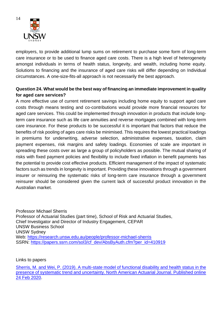

employers, to provide additional lump sums on retirement to purchase some form of long-term care insurance or to be used to finance aged care costs. There is a high level of heterogeneity amongst individuals in terms of health status, longevity, and wealth, including home equity. Solutions to financing and the insurance of aged care risks will differ depending on Individual circumstances. A one-size-fits-all approach is not necessarily the best approach.

# **Question 24. What would be the best way of financing an immediate improvement in quality for aged care services?**

A more effective use of current retirement savings including home equity to support aged care costs through means testing and co-contributions would provide more financial resources for aged care services. This could be implemented through innovation in products that include longterm care insurance such as life care annuities and reverse mortgages combined with long-term care insurance. For these products to be successful it is important that factors that reduce the benefits of risk pooling of ages care risks be minimised. This requires the lowest practical loadings in premiums for underwriting, adverse selection, administrative expenses, taxation, claim payment expenses, risk margins and safety loadings. Economies of scale are important in spreading these costs over as large a group of policyholders as possible. The mutual sharing of risks with fixed payment policies and flexibility to include fixed inflation in benefit payments has the potential to provide cost effective products. Efficient management of the impact of systematic factors such as trends in longevity is important. Providing these innovations through a government insurer or reinsuring the systematic risks of long-term care insurance through a government reinsurer should be considered given the current lack of successful product innovation in the Australian market.

Professor Michael Sherris Professor of Actuarial Studies (part time), School of Risk and Actuarial Studies, Chief Investigator and Director of Industry Engagement, CEPAR UNSW Business School UNSW Sydney Web:<https://research.unsw.edu.au/people/professor-michael-sherris> SSRN: [https://papers.ssrn.com/sol3/cf\\_dev/AbsByAuth.cfm?per\\_id=410919](https://papers.ssrn.com/sol3/cf_dev/AbsByAuth.cfm?per_id=410919)

Links to papers

[Sherris, M. and Wei, P. \(2019\). A multi-state model of functional disability and health status in the](https://doi.org/10.1080/10920277.2019.1708755)  [presence of systematic trend and uncertainty. North American Actuarial Journal. Published online](https://doi.org/10.1080/10920277.2019.1708755)  [24 Feb 2020.](https://doi.org/10.1080/10920277.2019.1708755)